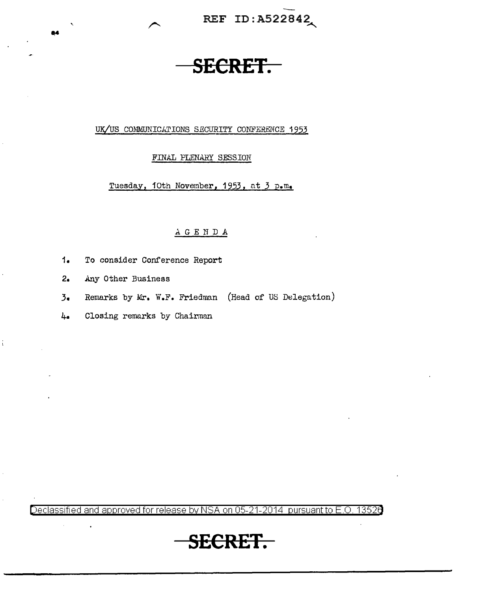REF ID: A522842

# **SECRET.**

### UK/US COMMUNICATIONS SECURITY CONFERENCE 1953

### FINAL PLENARY SESSION

Tuesday, 10th November, 1953, at 3 p.m.

## AGENDA

- $1.$ To consider Conference Report
- $2<sub>•</sub>$ Any Other Business
- Remarks by Mr. W.F. Friedman (Head of US Delegation)  $3.$
- $4.6$ Closing remarks by Chairman

Declassified and approved for release by NSA on 05-21-2014 pursuant to E.O. 13526

# **SECRET.**

 $\ddot{\rm i}$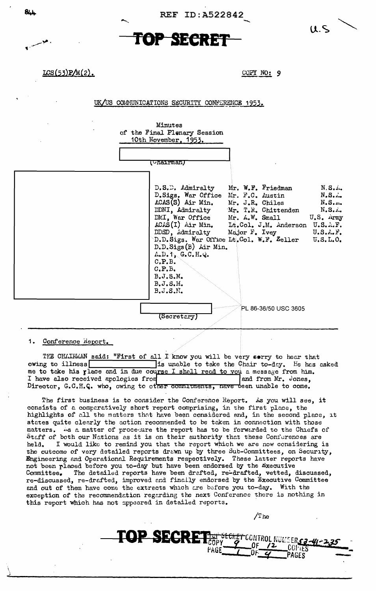

REF ID: A522842





LCS(53)P/M(2).

COPY NO: 9

UK/US COMMUNICATIONS SECURITY CONFERENCE 1953.

Minutes of the Final Plenary Session 10th November, 1953.

| (Unairman)<br>D.S.D. Admiralty Mr. W.F. Friedman<br>N.S.<br>D.Sigs. War Office Mr. F.C. Austin<br>$N_{\bullet}S_{\bullet}$<br>$\text{LCAS}(S)$ Air Min. Mr. J.R. Chiles $N.S$<br>DDNI, Admiralty Mr. T.R. Chittenden N.S.A.<br>DMI, War Office Mr. A.W. Small U.S. Army<br>ACAS(I) Air Min. Lt.Col. J.M. Anderson U.S.A.F.<br>DDSD, Admiralty Major F. Ivey U.S.A.F.<br>D.D.Sigs. War Office Lt.Col. W.F. Zeller<br>U.S.L.O.<br>D.D.Sigs(B) Air Min.<br>$A, D, T$ , $G, C, H, Q$ .<br>C.P.B.<br>C, P, B, |
|----------------------------------------------------------------------------------------------------------------------------------------------------------------------------------------------------------------------------------------------------------------------------------------------------------------------------------------------------------------------------------------------------------------------------------------------------------------------------------------------------------|
| B.J.S.M.<br>$B, J, S, M$ .<br>B.J.S.M.                                                                                                                                                                                                                                                                                                                                                                                                                                                                   |
| PL 86-36/50 USC 3605<br>$\left\langle \texttt{Secreterry}\right\rangle$                                                                                                                                                                                                                                                                                                                                                                                                                                  |

## 1. Conference Heport.

THE CHAIRMAN said: "First of all I know you will be very sorry to hear that owing to illness is unable to take the Chair to-day. He has asked me to take his place and in due course I shall read to you a message from him. and from Mr. Jones, I have also received apologies from Director, G.C.H.C. who, owing to other commitments, nave been unable to come.

The first business is to consider the Conference Report. As you will see, it consists of a comparatively short report comprising, in the first place, the highlights of all the matters that have been considered and, in the second place, it states quite clearly the action recommended to be taken in connection with those matters. 4s a matter of procedure the report has to be forwarded to the Chiefs of Staff of both our Nations as it is on their authority that these Conferences are I would like to remind you that the report which we are now considering is held. the outcome of very detailed reports drawn up by three Sub-Committees, on Security, Engineering and Operational Requirements respectively. These latter reports have not been placed before you to-day but have been endorsed by the Executive Committee. The detailed reports have been drafted, re-drafted, vetted, discussed, re-discussed, re-drafted, improved and finally endorsed by the Executive Committee and out of them have come the extracts which are before you to-day. With the exception of the recommendation regarding the next Conference there is nothing in this report which has not appeared in detailed reports.

fagf

TOP SECRET

 $T_{\rm he}$ 

SECRET CONTROL NUMBERS 3-41-2

 $COFTES$ 

PAGES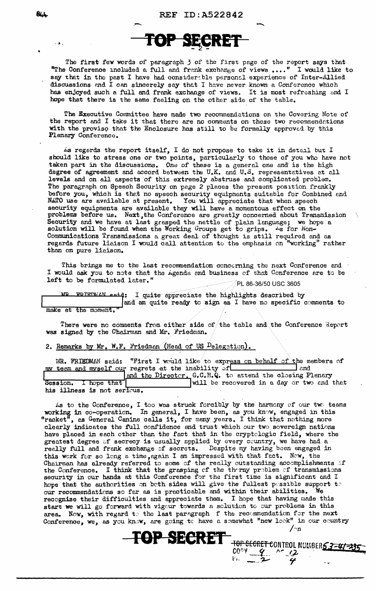

The first few words of paragraph 3 of the first page of the report says that "The Conference included a full and frank exchange of views  $\ldots$ ." I would like to say that in the past I have had consider; ble personal experience of Inter-Allied discussions and I can sincerely say that I have never known a Conference which has enjoyed such a full and frank exchange of views. It is most refreshing and I hope that there is the same feeling on the other side of the table.

The Executive Committee have made two recommendations on the Covering Note of the report and I take it that there are no comments on these two recommendations with the proviso that the Enclosure has still to be formally approved by this Plenary Conference.

is regards the report itself, I do not propose to take it in detail but I should like to stress one or two points, particularly to those of you who have not taken part in the discussions. One of these is a general one and is the high degree of agreement and accord between the U.K. and U.S. representatives at all levels and on all aspects of this extremely abstruse and complicated problam. The paragraph on Speech Security on page 2 places the present position frankly before you, which is that no speech security equipments suitable for Combined and NATO use are available at present. You will appreciate that when speech NATO use are available at present. security equipments are available they will have a momentous effect on the problems before us. Next,the Conference are greatly concerned about Transmission Security and we have at last grasped the nettle of plain language; we hope a solution will be found when the Working Groups get to grips.  $\frac{1}{18}$  for Non-Communications Transmissions a great deal of thought is still required and as regards future liaison I would call attention to the emphasis on "working" rather than on pure liaison.

This brings me to the last recommendation concerning the next Conference and I would ask you to note that the Agenda and business of that Conference are to be left to be formulated later."  $\blacksquare$  PL 86-36/50 USC 3605

**MR ERIEDMAN said:** I quite appreciate the highlights described by and am quite ready to sign as I have no specific comments to make at the moment.

There were no comments from either side of the table and the Conference Report was signed by the Chairman and Mr. Friedman.

2. Remarks by Mr. W.F. Friedman (Head of US  $P_{\text{elegation}}$ ).

MR. FRIEDMAN seid: "First I would like/to express on behalf of the members of team and myself our regrets at the inability of  $r$  inv team and myself our regrets at the inability of and the Directer. G.C.H.Q. to attend the closing Plenary Session. I hope that  $\begin{array}{|l|}\n\hline\n\text{and the Director.} & \text{G.S.},\n\end{array}$ will be recovered in a day or two and that his illness is not serious.

As to the Conference, I too was struck forcibly by the harmony of our two teams working in co-operation. In general, I have been, as you know, engaged in this "racket", as General Canine calls it, for many years. I think that nothing more cleerly indicates the full confidence and trust which our two sovereign nations have placed in each other than the fact that in the cryptclogic field, where the greatest degree of secrecy is usually applied by every country, we have had a really full and frank exchange of secrets. Despite my having been engaged in this work for so long a time, again I am impressed with that fect. Now, the Chairman has already referred to some of the really outstanding accomplishments of the Conference. I think that the grasping of the theray preblem of transmissions security in our hands at this Conference for the first time is significant and I hope that the authorities on both sides will give the fullest possible support to our recommendations so far as is practicable and within their abilities. We recognise their difficulties and appreciate them. I hope that having made this start we will go forward with vigcur towards a sclution to cur problems in this area. Now, with regard to the last paragraph f the recommendation for the next Conference, we, as you know, are going to have a semewhat "new look" in our country  $/$ -n

TOP SECRET CONTROL NUMBER 53-41-235

 $\frac{100 \text{ V}}{2}$  ^ (2)

**TOP SECRET** 

84.L

•

 $\ldots$  .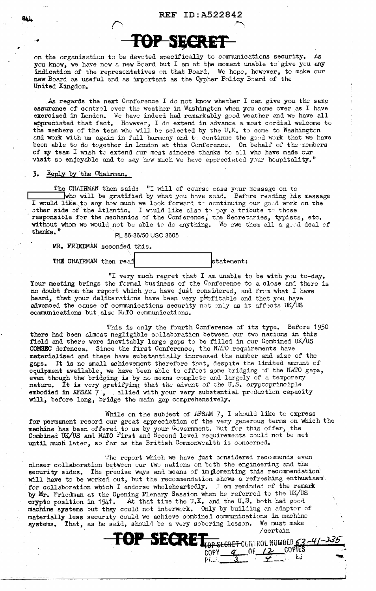

on the organisation to be devoted specifically to communications security. As you know, we have now a new Board but I am at the moment unable to give you any indication of the representatives on that Board. We hope, however, to make our new Board as useful and as important as the Cypher Policy Board of the United Kingdom.

As regards the next Conference I do not know whether I can give you the same assurance of control over the weather in Washington when you come over as I have exercised in London. We have indeed had remarkably good weather and we have all appreciated that fact. However, I do extend in advance a most cordial welcome to the members of the team who will be selected by the U.K. to come to Washington and work with us again in full harmony and  $t$ : continue the good work that we have been able to do together in London at this Conference. On behalf of the members of my team I wish to extend our most sincere thanks to all who have made our visit so enjoyable and to say how much we have appreciated your hospitality."

### *3.* Reply by 'the Chairman.

The CHAIRMAN then said: "I will of course pass your message on to who will be gratified by what you have said. Before reeding his message I would like to say how much we look forward to continuing our good work on the other side of the Atlantic. I would like also to pay a tribute to those responsible for the mechanics of the Conference, the Secretaries, typists, etc. without whom we would not be able to do anything. We owe them all a good deal of thenks.  $\frac{m}{P}$  PL 86-36/50 USC 3605

MR. FRIEDMAN seconded this.

THE CHAIRMAN then read statement:

*q* 0F <u>/2</u> COPTES

 $P[h \cup \frac{3}{2}$   $\frac{4}{2}$  to  $\frac{1}{2}$ 

"I very much regret that I am unable to be with you to-day. Your meeting brings the formal business of the Conference to a close and there is no doubt from the report which you have just considered, and from what I have heard, that your deliberations have been very prefitable and that you have advanced the cause of communications security not only as it affects UK/US communications but also NATO communications.

This is only the fourth Conference of its type. Before 1950 there had been almost negligible collaboration between cur two nations in this field and there were inevitably large gaps to be filled in cur Combined UK/US COMSEC defences. Since the first Conference, the NATO requirements have materialised and these have substantially increased the number and size of the gaps. It is no small achievement therefore that, despite the limited amount cf equipment available, we have been able to effect some bridging of the NATO gaps, even though the bridging is by no means complete and largely of a temporary nature. It is very gratifying that the advent of the U.S. cryptoprinciple<br>embodied in AFSAM 7, allied with your very substantial production capace , allied with your very substantial preduction capacity will, before long, bridge the main gap comprehensively.

While on the subject of AFSAM 7, I should like to express for permanent record our great appreciation of the very generous terms on which the machine has been offered to us by your Government. But for this offer, the Combined UK/US and NATO First and Second level requirements could not be met until much later, so far as the British Commonwealth is concerned.

The report which we have just considered recommends even closer collaboration between cur two nations on beth the engineering and the security sides. The precise ways and means of implementing this recommendation will have to be worked out, but the recommendation shows a refreshing enthusiasm's for collaboration which I endorse wholeheartedly. I am reminded of the remark by Mr. Friedman at the Opening Plenary Session when he referred to the UK/US crypto position in  $1941.$  At that time the U.K. and the U.S. both had good machine systems but they could not interwork. Only by building an adaptor of materially less security could we achieve combined communications in machine systems. That, as he said, should be a very sobering lesson. We must make OP SECRET<sub>TOP SEGRET</sub> CONTROL NUMBER 6.3-4/-235